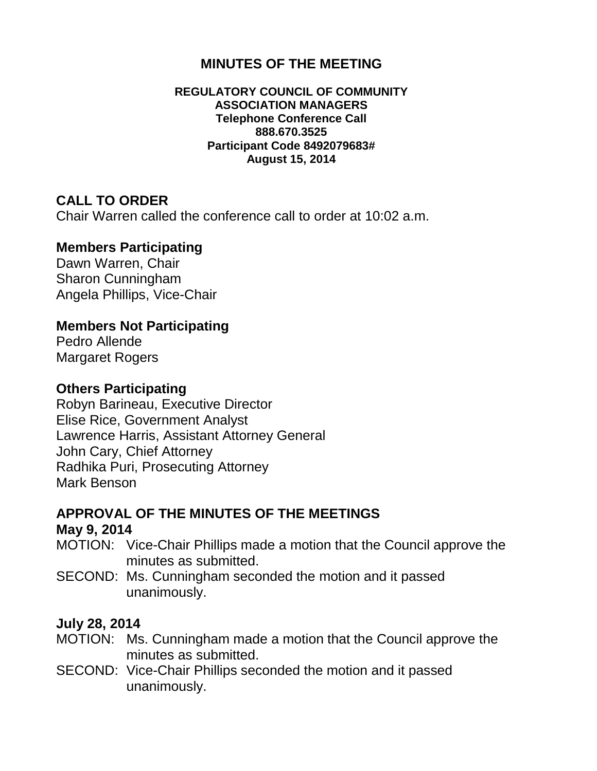### **MINUTES OF THE MEETING**

#### **REGULATORY COUNCIL OF COMMUNITY ASSOCIATION MANAGERS Telephone Conference Call 888.670.3525 Participant Code 8492079683# August 15, 2014**

### **CALL TO ORDER**

Chair Warren called the conference call to order at 10:02 a.m.

#### **Members Participating**

Dawn Warren, Chair Sharon Cunningham Angela Phillips, Vice-Chair

### **Members Not Participating**

Pedro Allende Margaret Rogers

#### **Others Participating**

Robyn Barineau, Executive Director Elise Rice, Government Analyst Lawrence Harris, Assistant Attorney General John Cary, Chief Attorney Radhika Puri, Prosecuting Attorney Mark Benson

# **APPROVAL OF THE MINUTES OF THE MEETINGS**

#### **May 9, 2014**

- MOTION: Vice-Chair Phillips made a motion that the Council approve the minutes as submitted.
- SECOND: Ms. Cunningham seconded the motion and it passed unanimously.

### **July 28, 2014**

- MOTION: Ms. Cunningham made a motion that the Council approve the minutes as submitted.
- SECOND: Vice-Chair Phillips seconded the motion and it passed unanimously.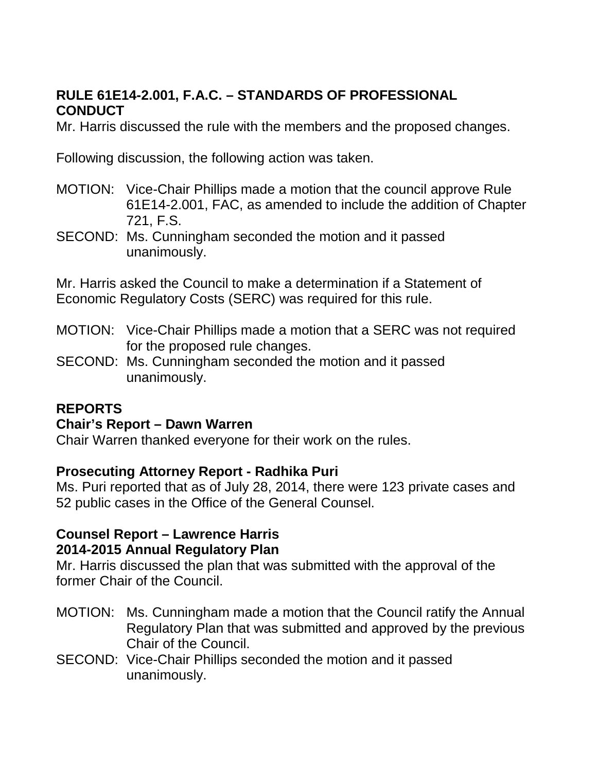## **RULE 61E14-2.001, F.A.C. – STANDARDS OF PROFESSIONAL CONDUCT**

Mr. Harris discussed the rule with the members and the proposed changes.

Following discussion, the following action was taken.

- MOTION: Vice-Chair Phillips made a motion that the council approve Rule 61E14-2.001, FAC, as amended to include the addition of Chapter 721, F.S.
- SECOND: Ms. Cunningham seconded the motion and it passed unanimously.

Mr. Harris asked the Council to make a determination if a Statement of Economic Regulatory Costs (SERC) was required for this rule.

- MOTION: Vice-Chair Phillips made a motion that a SERC was not required for the proposed rule changes.
- SECOND: Ms. Cunningham seconded the motion and it passed unanimously.

## **REPORTS**

### **Chair's Report – Dawn Warren**

Chair Warren thanked everyone for their work on the rules.

### **Prosecuting Attorney Report - Radhika Puri**

Ms. Puri reported that as of July 28, 2014, there were 123 private cases and 52 public cases in the Office of the General Counsel.

### **Counsel Report – Lawrence Harris 2014-2015 Annual Regulatory Plan**

Mr. Harris discussed the plan that was submitted with the approval of the former Chair of the Council.

- MOTION: Ms. Cunningham made a motion that the Council ratify the Annual Regulatory Plan that was submitted and approved by the previous Chair of the Council.
- SECOND: Vice-Chair Phillips seconded the motion and it passed unanimously.